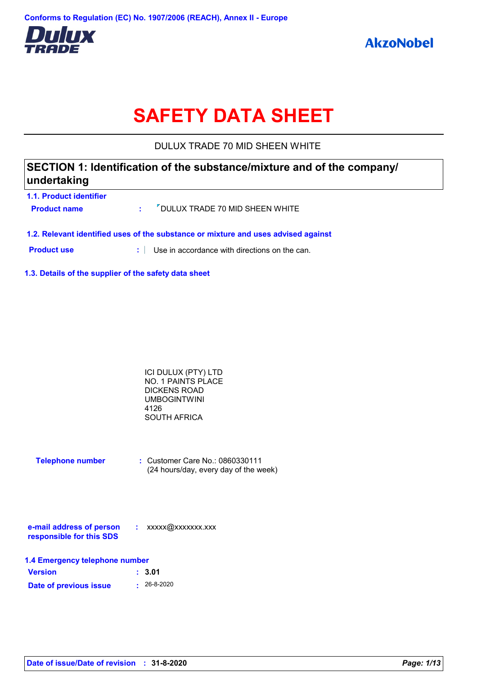

# **SAFETY DATA SHEET**

DULUX TRADE 70 MID SHEEN WHITE

# **SECTION 1: Identification of the substance/mixture and of the company/ undertaking**

| 1.1. Product identifier                                                            |  |                                                                |  |
|------------------------------------------------------------------------------------|--|----------------------------------------------------------------|--|
| <b>Product name</b>                                                                |  | $\cdot$ $\cdot$ $\cdot$ $\cdot$ DULUX TRADE 70 MID SHEEN WHITE |  |
| 1.2. Relevant identified uses of the substance or mixture and uses advised against |  |                                                                |  |

**Product use <b>:** Use in accordance with directions on the can.

**1.3. Details of the supplier of the safety data sheet**

| ICI DULUX (PTY) LTD       |  |
|---------------------------|--|
| <b>NO. 1 PAINTS PLACE</b> |  |
| DICKENS ROAD              |  |
| UMBOGINTWINI              |  |
| 4126                      |  |
| SOUTH AFRICA              |  |
|                           |  |

| <b>Telephone number</b> | $\therefore$ Customer Care No.: 0860330111 |
|-------------------------|--------------------------------------------|
|                         | (24 hours/day, every day of the week)      |

| e-mail address of person | xxxxx@xxxxxxx.xxx |
|--------------------------|-------------------|
| responsible for this SDS |                   |

| 1.4 Emergency telephone number |                   |  |  |
|--------------------------------|-------------------|--|--|
| <b>Version</b>                 | : 3.01            |  |  |
| Date of previous issue         | $\cdot$ 26-8-2020 |  |  |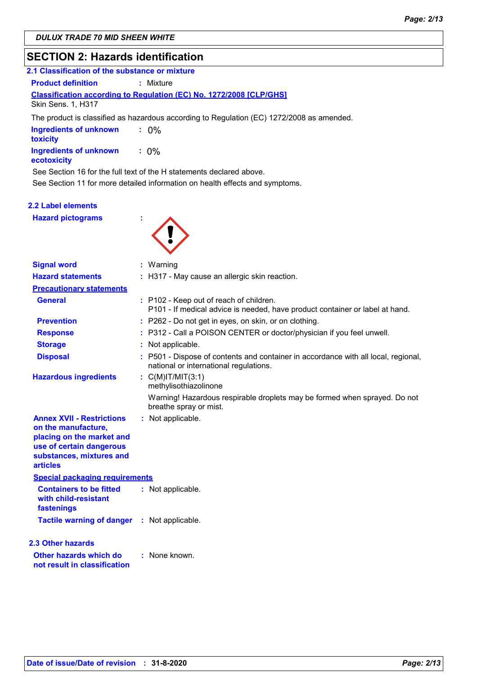# **SECTION 2: Hazards identification**

| 2.1 Classification of the substance or mixture                                                                                                       |                                                                                           |  |
|------------------------------------------------------------------------------------------------------------------------------------------------------|-------------------------------------------------------------------------------------------|--|
| <b>Product definition</b>                                                                                                                            | : Mixture                                                                                 |  |
| Skin Sens. 1, H317                                                                                                                                   | <b>Classification according to Regulation (EC) No. 1272/2008 [CLP/GHS]</b>                |  |
|                                                                                                                                                      | The product is classified as hazardous according to Regulation (EC) 1272/2008 as amended. |  |
| <b>Ingredients of unknown</b><br>toxicity                                                                                                            | $: 0\%$                                                                                   |  |
| <b>Ingredients of unknown</b><br>ecotoxicity                                                                                                         | $: 0\%$                                                                                   |  |
| See Section 16 for the full text of the H statements declared above.<br>See Section 11 for more detailed information on health effects and symptoms. |                                                                                           |  |

### **2.2 Label elements**

**Hazard pictograms :**



| <b>Signal word</b>                                                                                                                                              | $:$ Warning                                                                                                                  |
|-----------------------------------------------------------------------------------------------------------------------------------------------------------------|------------------------------------------------------------------------------------------------------------------------------|
| <b>Hazard statements</b>                                                                                                                                        | : H317 - May cause an allergic skin reaction.                                                                                |
| <b>Precautionary statements</b>                                                                                                                                 |                                                                                                                              |
| <b>General</b>                                                                                                                                                  | : P102 - Keep out of reach of children.<br>P101 - If medical advice is needed, have product container or label at hand.      |
| <b>Prevention</b>                                                                                                                                               | : P262 - Do not get in eyes, on skin, or on clothing.                                                                        |
| <b>Response</b>                                                                                                                                                 | : P312 - Call a POISON CENTER or doctor/physician if you feel unwell.                                                        |
| <b>Storage</b>                                                                                                                                                  | Not applicable.                                                                                                              |
| <b>Disposal</b>                                                                                                                                                 | : P501 - Dispose of contents and container in accordance with all local, regional,<br>national or international regulations. |
| <b>Hazardous ingredients</b>                                                                                                                                    | : $C(M)IT/MIT(3:1)$<br>methylisothiazolinone                                                                                 |
|                                                                                                                                                                 | Warning! Hazardous respirable droplets may be formed when sprayed. Do not<br>breathe spray or mist.                          |
| <b>Annex XVII - Restrictions</b><br>on the manufacture,<br>placing on the market and<br>use of certain dangerous<br>substances, mixtures and<br><b>articles</b> | : Not applicable.                                                                                                            |
| <b>Special packaging requirements</b>                                                                                                                           |                                                                                                                              |
| <b>Containers to be fitted</b><br>with child-resistant<br>fastenings                                                                                            | : Not applicable.                                                                                                            |
| <b>Tactile warning of danger : Not applicable.</b>                                                                                                              |                                                                                                                              |
| 2.3 Other hazards                                                                                                                                               |                                                                                                                              |
| Other hazards which do<br>not result in classification                                                                                                          | : None known.                                                                                                                |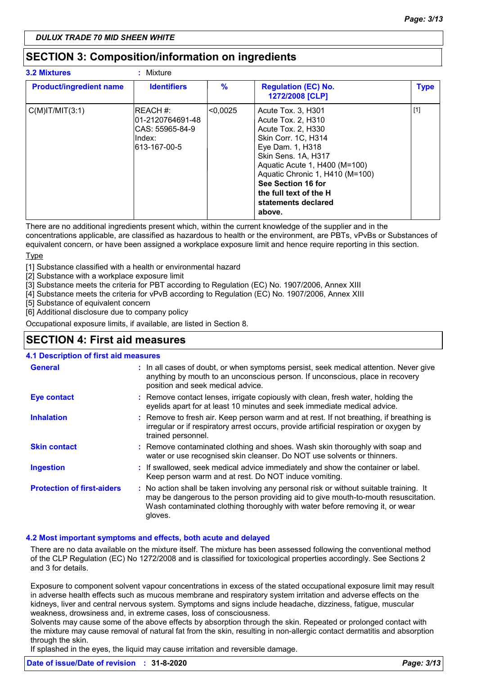# **SECTION 3: Composition/information on ingredients**

| <b>3.2 Mixtures</b>            | : Mixture                                                                    |               |                                                                                                                                                                                                                                                                                       |             |
|--------------------------------|------------------------------------------------------------------------------|---------------|---------------------------------------------------------------------------------------------------------------------------------------------------------------------------------------------------------------------------------------------------------------------------------------|-------------|
| <b>Product/ingredient name</b> | <b>Identifiers</b>                                                           | $\frac{9}{6}$ | <b>Regulation (EC) No.</b><br>1272/2008 [CLP]                                                                                                                                                                                                                                         | <b>Type</b> |
| $C(M)$ IT/MIT $(3:1)$          | IREACH #:<br>101-2120764691-48<br>ICAS: 55965-84-9<br>Index:<br>613-167-00-5 | <0.0025       | Acute Tox. 3, H301<br>Acute Tox. 2, H310<br>Acute Tox. 2, H330<br>Skin Corr. 1C, H314<br>Eye Dam. 1, H318<br>Skin Sens. 1A, H317<br>Aquatic Acute 1, H400 (M=100)<br>Aquatic Chronic 1, H410 (M=100)<br>See Section 16 for<br>the full text of the H<br>statements declared<br>above. | $[1]$       |

There are no additional ingredients present which, within the current knowledge of the supplier and in the concentrations applicable, are classified as hazardous to health or the environment, are PBTs, vPvBs or Substances of equivalent concern, or have been assigned a workplace exposure limit and hence require reporting in this section. **Type** 

[1] Substance classified with a health or environmental hazard

[2] Substance with a workplace exposure limit

[3] Substance meets the criteria for PBT according to Regulation (EC) No. 1907/2006, Annex XIII

[4] Substance meets the criteria for vPvB according to Regulation (EC) No. 1907/2006, Annex XIII

[5] Substance of equivalent concern

[6] Additional disclosure due to company policy

Occupational exposure limits, if available, are listed in Section 8.

# **SECTION 4: First aid measures**

### **4.1 Description of first aid measures**

| <b>General</b>                    | : In all cases of doubt, or when symptoms persist, seek medical attention. Never give<br>anything by mouth to an unconscious person. If unconscious, place in recovery<br>position and seek medical advice.                                                              |
|-----------------------------------|--------------------------------------------------------------------------------------------------------------------------------------------------------------------------------------------------------------------------------------------------------------------------|
| Eye contact                       | : Remove contact lenses, irrigate copiously with clean, fresh water, holding the<br>eyelids apart for at least 10 minutes and seek immediate medical advice.                                                                                                             |
| <b>Inhalation</b>                 | : Remove to fresh air. Keep person warm and at rest. If not breathing, if breathing is<br>irregular or if respiratory arrest occurs, provide artificial respiration or oxygen by<br>trained personnel.                                                                   |
| <b>Skin contact</b>               | : Remove contaminated clothing and shoes. Wash skin thoroughly with soap and<br>water or use recognised skin cleanser. Do NOT use solvents or thinners.                                                                                                                  |
| <b>Ingestion</b>                  | : If swallowed, seek medical advice immediately and show the container or label.<br>Keep person warm and at rest. Do NOT induce vomiting.                                                                                                                                |
| <b>Protection of first-aiders</b> | : No action shall be taken involving any personal risk or without suitable training. It<br>may be dangerous to the person providing aid to give mouth-to-mouth resuscitation.<br>Wash contaminated clothing thoroughly with water before removing it, or wear<br>gloves. |

### **4.2 Most important symptoms and effects, both acute and delayed**

There are no data available on the mixture itself. The mixture has been assessed following the conventional method of the CLP Regulation (EC) No 1272/2008 and is classified for toxicological properties accordingly. See Sections 2 and 3 for details.

Exposure to component solvent vapour concentrations in excess of the stated occupational exposure limit may result in adverse health effects such as mucous membrane and respiratory system irritation and adverse effects on the kidneys, liver and central nervous system. Symptoms and signs include headache, dizziness, fatigue, muscular weakness, drowsiness and, in extreme cases, loss of consciousness.

Solvents may cause some of the above effects by absorption through the skin. Repeated or prolonged contact with the mixture may cause removal of natural fat from the skin, resulting in non-allergic contact dermatitis and absorption through the skin.

If splashed in the eyes, the liquid may cause irritation and reversible damage.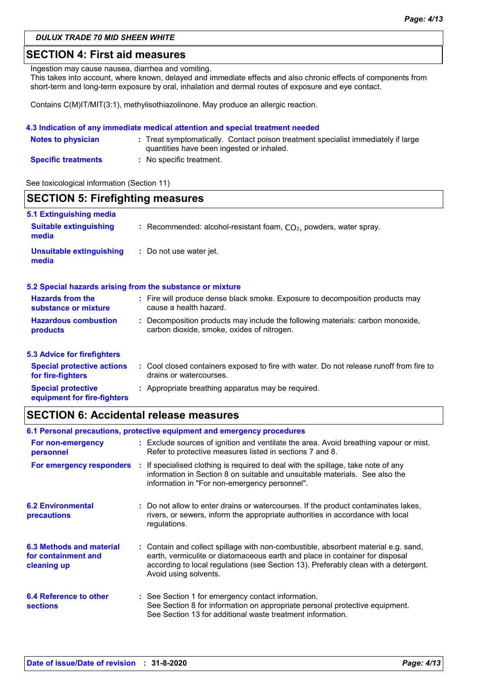# **SECTION 4: First aid measures**

Ingestion may cause nausea, diarrhea and vomiting.

This takes into account, where known, delayed and immediate effects and also chronic effects of components from short-term and long-term exposure by oral, inhalation and dermal routes of exposure and eye contact.

Contains C(M)IT/MIT(3:1), methylisothiazolinone. May produce an allergic reaction.

### **4.3 Indication of any immediate medical attention and special treatment needed**

| <b>Notes to physician</b>  | : Treat symptomatically. Contact poison treatment specialist immediately if large<br>quantities have been ingested or inhaled. |
|----------------------------|--------------------------------------------------------------------------------------------------------------------------------|
| <b>Specific treatments</b> | : No specific treatment.                                                                                                       |

See toxicological information (Section 11)

| <b>SECTION 5: Firefighting measures</b>                  |                                                                                                                              |  |  |  |
|----------------------------------------------------------|------------------------------------------------------------------------------------------------------------------------------|--|--|--|
| 5.1 Extinguishing media                                  |                                                                                                                              |  |  |  |
| <b>Suitable extinguishing</b><br>media                   | : Recommended: alcohol-resistant foam, $CO2$ , powders, water spray.                                                         |  |  |  |
| <b>Unsuitable extinguishing</b><br>media                 | : Do not use water jet.                                                                                                      |  |  |  |
|                                                          | 5.2 Special hazards arising from the substance or mixture                                                                    |  |  |  |
| <b>Hazards from the</b><br>substance or mixture          | : Fire will produce dense black smoke. Exposure to decomposition products may<br>cause a health hazard.                      |  |  |  |
| <b>Hazardous combustion</b><br>products                  | : Decomposition products may include the following materials: carbon monoxide,<br>carbon dioxide, smoke, oxides of nitrogen. |  |  |  |
| <b>5.3 Advice for firefighters</b>                       |                                                                                                                              |  |  |  |
| <b>Special protective actions</b><br>for fire-fighters   | : Cool closed containers exposed to fire with water. Do not release runoff from fire to<br>drains or watercourses.           |  |  |  |
| <b>Special protective</b><br>equipment for fire-fighters | : Appropriate breathing apparatus may be required.                                                                           |  |  |  |

# **SECTION 6: Accidental release measures**

| 6.1 Personal precautions, protective equipment and emergency procedures |  |                                                                                                                                                                                                                                                                                    |  |
|-------------------------------------------------------------------------|--|------------------------------------------------------------------------------------------------------------------------------------------------------------------------------------------------------------------------------------------------------------------------------------|--|
| For non-emergency<br>personnel                                          |  | : Exclude sources of ignition and ventilate the area. Avoid breathing vapour or mist.<br>Refer to protective measures listed in sections 7 and 8.                                                                                                                                  |  |
| For emergency responders                                                |  | : If specialised clothing is required to deal with the spillage, take note of any<br>information in Section 8 on suitable and unsuitable materials. See also the<br>information in "For non-emergency personnel".                                                                  |  |
| <b>6.2 Environmental</b><br>precautions                                 |  | : Do not allow to enter drains or watercourses. If the product contaminates lakes,<br>rivers, or sewers, inform the appropriate authorities in accordance with local<br>regulations.                                                                                               |  |
| 6.3 Methods and material<br>for containment and<br>cleaning up          |  | : Contain and collect spillage with non-combustible, absorbent material e.g. sand,<br>earth, vermiculite or diatomaceous earth and place in container for disposal<br>according to local regulations (see Section 13). Preferably clean with a detergent.<br>Avoid using solvents. |  |
| 6.4 Reference to other<br><b>sections</b>                               |  | : See Section 1 for emergency contact information.<br>See Section 8 for information on appropriate personal protective equipment.<br>See Section 13 for additional waste treatment information.                                                                                    |  |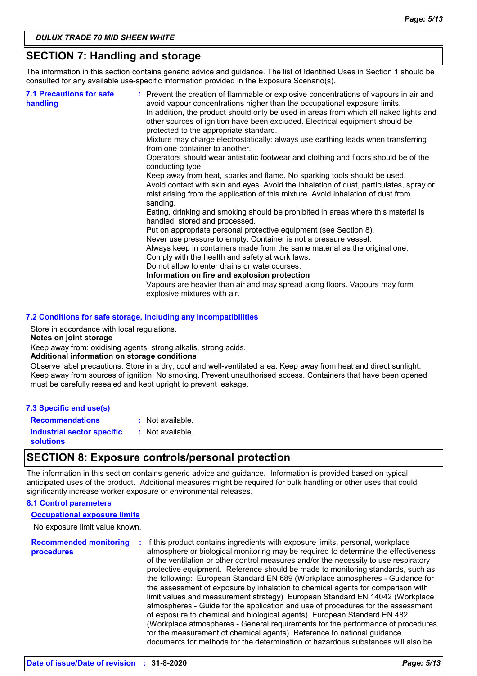# **SECTION 7: Handling and storage**

The information in this section contains generic advice and guidance. The list of Identified Uses in Section 1 should be consulted for any available use-specific information provided in the Exposure Scenario(s).

| <b>7.1 Precautions for safe</b><br>handling | : Prevent the creation of flammable or explosive concentrations of vapours in air and<br>avoid vapour concentrations higher than the occupational exposure limits.<br>In addition, the product should only be used in areas from which all naked lights and<br>other sources of ignition have been excluded. Electrical equipment should be<br>protected to the appropriate standard.<br>Mixture may charge electrostatically: always use earthing leads when transferring<br>from one container to another.<br>Operators should wear antistatic footwear and clothing and floors should be of the<br>conducting type.<br>Keep away from heat, sparks and flame. No sparking tools should be used.<br>Avoid contact with skin and eyes. Avoid the inhalation of dust, particulates, spray or<br>mist arising from the application of this mixture. Avoid inhalation of dust from<br>sanding.<br>Eating, drinking and smoking should be prohibited in areas where this material is<br>handled, stored and processed.<br>Put on appropriate personal protective equipment (see Section 8).<br>Never use pressure to empty. Container is not a pressure vessel.<br>Always keep in containers made from the same material as the original one.<br>Comply with the health and safety at work laws.<br>Do not allow to enter drains or watercourses.<br>Information on fire and explosion protection<br>Vapours are heavier than air and may spread along floors. Vapours may form |
|---------------------------------------------|------------------------------------------------------------------------------------------------------------------------------------------------------------------------------------------------------------------------------------------------------------------------------------------------------------------------------------------------------------------------------------------------------------------------------------------------------------------------------------------------------------------------------------------------------------------------------------------------------------------------------------------------------------------------------------------------------------------------------------------------------------------------------------------------------------------------------------------------------------------------------------------------------------------------------------------------------------------------------------------------------------------------------------------------------------------------------------------------------------------------------------------------------------------------------------------------------------------------------------------------------------------------------------------------------------------------------------------------------------------------------------------------------------------------------------------------------------------------------|
|                                             | explosive mixtures with air.                                                                                                                                                                                                                                                                                                                                                                                                                                                                                                                                                                                                                                                                                                                                                                                                                                                                                                                                                                                                                                                                                                                                                                                                                                                                                                                                                                                                                                                 |

### **7.2 Conditions for safe storage, including any incompatibilities**

Store in accordance with local regulations.

### **Notes on joint storage**

Keep away from: oxidising agents, strong alkalis, strong acids.

### **Additional information on storage conditions**

Observe label precautions. Store in a dry, cool and well-ventilated area. Keep away from heat and direct sunlight. Keep away from sources of ignition. No smoking. Prevent unauthorised access. Containers that have been opened must be carefully resealed and kept upright to prevent leakage.

### **7.3 Specific end use(s)**

**Recommendations :** : Not available. Not available.

**Industrial sector specific : solutions**

### **SECTION 8: Exposure controls/personal protection**

The information in this section contains generic advice and guidance. Information is provided based on typical anticipated uses of the product. Additional measures might be required for bulk handling or other uses that could significantly increase worker exposure or environmental releases.

### **8.1 Control parameters**

### **Occupational exposure limits**

No exposure limit value known.

**Recommended monitoring procedures :** If this product contains ingredients with exposure limits, personal, workplace atmosphere or biological monitoring may be required to determine the effectiveness of the ventilation or other control measures and/or the necessity to use respiratory protective equipment. Reference should be made to monitoring standards, such as the following: European Standard EN 689 (Workplace atmospheres - Guidance for the assessment of exposure by inhalation to chemical agents for comparison with limit values and measurement strategy) European Standard EN 14042 (Workplace atmospheres - Guide for the application and use of procedures for the assessment of exposure to chemical and biological agents) European Standard EN 482 (Workplace atmospheres - General requirements for the performance of procedures for the measurement of chemical agents) Reference to national guidance documents for methods for the determination of hazardous substances will also be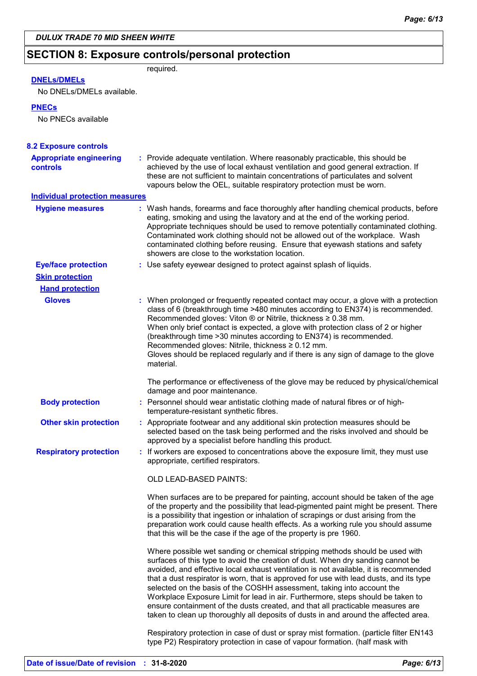# **SECTION 8: Exposure controls/personal protection** required.

# **DNELs/DMELs**

No DNELs/DMELs available.

### **PNECs**

No PNECs available

| <b>8.2 Exposure controls</b>                      |                                                                                                                                                                                                                                                                                                                                                                                                                                                                                                                                                                                                                                                                                         |
|---------------------------------------------------|-----------------------------------------------------------------------------------------------------------------------------------------------------------------------------------------------------------------------------------------------------------------------------------------------------------------------------------------------------------------------------------------------------------------------------------------------------------------------------------------------------------------------------------------------------------------------------------------------------------------------------------------------------------------------------------------|
| <b>Appropriate engineering</b><br><b>controls</b> | : Provide adequate ventilation. Where reasonably practicable, this should be<br>achieved by the use of local exhaust ventilation and good general extraction. If<br>these are not sufficient to maintain concentrations of particulates and solvent<br>vapours below the OEL, suitable respiratory protection must be worn.                                                                                                                                                                                                                                                                                                                                                             |
| <b>Individual protection measures</b>             |                                                                                                                                                                                                                                                                                                                                                                                                                                                                                                                                                                                                                                                                                         |
| <b>Hygiene measures</b>                           | : Wash hands, forearms and face thoroughly after handling chemical products, before<br>eating, smoking and using the lavatory and at the end of the working period.<br>Appropriate techniques should be used to remove potentially contaminated clothing.<br>Contaminated work clothing should not be allowed out of the workplace. Wash<br>contaminated clothing before reusing. Ensure that eyewash stations and safety<br>showers are close to the workstation location.                                                                                                                                                                                                             |
| <b>Eye/face protection</b>                        | : Use safety eyewear designed to protect against splash of liquids.                                                                                                                                                                                                                                                                                                                                                                                                                                                                                                                                                                                                                     |
| <b>Skin protection</b>                            |                                                                                                                                                                                                                                                                                                                                                                                                                                                                                                                                                                                                                                                                                         |
| <b>Hand protection</b>                            |                                                                                                                                                                                                                                                                                                                                                                                                                                                                                                                                                                                                                                                                                         |
| <b>Gloves</b>                                     | : When prolonged or frequently repeated contact may occur, a glove with a protection<br>class of 6 (breakthrough time >480 minutes according to EN374) is recommended.<br>Recommended gloves: Viton ® or Nitrile, thickness ≥ 0.38 mm.<br>When only brief contact is expected, a glove with protection class of 2 or higher<br>(breakthrough time > 30 minutes according to EN374) is recommended.<br>Recommended gloves: Nitrile, thickness ≥ 0.12 mm.<br>Gloves should be replaced regularly and if there is any sign of damage to the glove<br>material.                                                                                                                             |
|                                                   | The performance or effectiveness of the glove may be reduced by physical/chemical<br>damage and poor maintenance.                                                                                                                                                                                                                                                                                                                                                                                                                                                                                                                                                                       |
| <b>Body protection</b>                            | : Personnel should wear antistatic clothing made of natural fibres or of high-<br>temperature-resistant synthetic fibres.                                                                                                                                                                                                                                                                                                                                                                                                                                                                                                                                                               |
| <b>Other skin protection</b>                      | : Appropriate footwear and any additional skin protection measures should be<br>selected based on the task being performed and the risks involved and should be<br>approved by a specialist before handling this product.                                                                                                                                                                                                                                                                                                                                                                                                                                                               |
| <b>Respiratory protection</b>                     | : If workers are exposed to concentrations above the exposure limit, they must use<br>appropriate, certified respirators.                                                                                                                                                                                                                                                                                                                                                                                                                                                                                                                                                               |
|                                                   | <b>OLD LEAD-BASED PAINTS:</b>                                                                                                                                                                                                                                                                                                                                                                                                                                                                                                                                                                                                                                                           |
|                                                   | When surfaces are to be prepared for painting, account should be taken of the age<br>of the property and the possibility that lead-pigmented paint might be present. There<br>is a possibility that ingestion or inhalation of scrapings or dust arising from the<br>preparation work could cause health effects. As a working rule you should assume<br>that this will be the case if the age of the property is pre 1960.                                                                                                                                                                                                                                                             |
|                                                   | Where possible wet sanding or chemical stripping methods should be used with<br>surfaces of this type to avoid the creation of dust. When dry sanding cannot be<br>avoided, and effective local exhaust ventilation is not available, it is recommended<br>that a dust respirator is worn, that is approved for use with lead dusts, and its type<br>selected on the basis of the COSHH assessment, taking into account the<br>Workplace Exposure Limit for lead in air. Furthermore, steps should be taken to<br>ensure containment of the dusts created, and that all practicable measures are<br>taken to clean up thoroughly all deposits of dusts in and around the affected area. |
|                                                   | Respiratory protection in case of dust or spray mist formation. (particle filter EN143<br>type P2) Respiratory protection in case of vapour formation. (half mask with                                                                                                                                                                                                                                                                                                                                                                                                                                                                                                                  |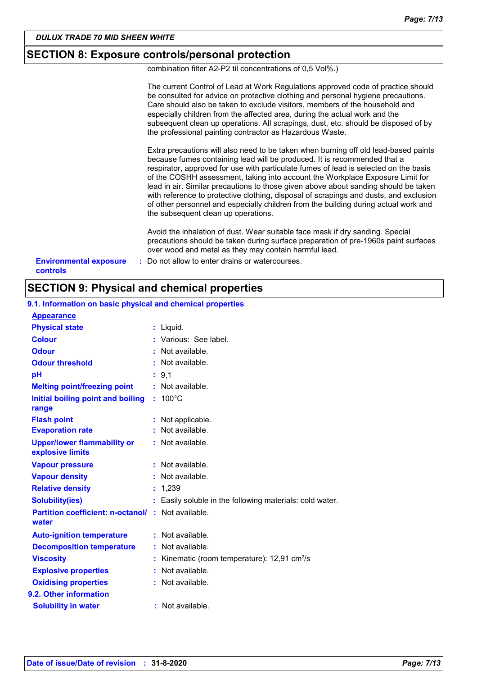# **SECTION 8: Exposure controls/personal protection**

combination filter A2-P2 til concentrations of 0,5 Vol%.)

|                                           | The current Control of Lead at Work Regulations approved code of practice should<br>be consulted for advice on protective clothing and personal hygiene precautions.<br>Care should also be taken to exclude visitors, members of the household and<br>especially children from the affected area, during the actual work and the<br>subsequent clean up operations. All scrapings, dust, etc. should be disposed of by<br>the professional painting contractor as Hazardous Waste.                                                                                                                                                                    |
|-------------------------------------------|--------------------------------------------------------------------------------------------------------------------------------------------------------------------------------------------------------------------------------------------------------------------------------------------------------------------------------------------------------------------------------------------------------------------------------------------------------------------------------------------------------------------------------------------------------------------------------------------------------------------------------------------------------|
|                                           | Extra precautions will also need to be taken when burning off old lead-based paints<br>because fumes containing lead will be produced. It is recommended that a<br>respirator, approved for use with particulate fumes of lead is selected on the basis<br>of the COSHH assessment, taking into account the Workplace Exposure Limit for<br>lead in air. Similar precautions to those given above about sanding should be taken<br>with reference to protective clothing, disposal of scrapings and dusts, and exclusion<br>of other personnel and especially children from the building during actual work and<br>the subsequent clean up operations. |
|                                           | Avoid the inhalation of dust. Wear suitable face mask if dry sanding. Special<br>precautions should be taken during surface preparation of pre-1960s paint surfaces<br>over wood and metal as they may contain harmful lead.                                                                                                                                                                                                                                                                                                                                                                                                                           |
| <b>Environmental exposure</b><br>controls | : Do not allow to enter drains or watercourses.                                                                                                                                                                                                                                                                                                                                                                                                                                                                                                                                                                                                        |

# **SECTION 9: Physical and chemical properties**

| <b>Appearance</b>                                                  |    |                                                            |
|--------------------------------------------------------------------|----|------------------------------------------------------------|
| <b>Physical state</b>                                              |    | $:$ Liquid.                                                |
| <b>Colour</b>                                                      |    | : Various: See label.                                      |
| <b>Odour</b>                                                       |    | Not available.                                             |
| <b>Odour threshold</b>                                             |    | Not available.                                             |
| pH                                                                 |    | : 9.1                                                      |
| <b>Melting point/freezing point</b>                                |    | : Not available.                                           |
| Initial boiling point and boiling<br>range                         | ÷. | $100^{\circ}$ C                                            |
| <b>Flash point</b>                                                 |    | : Not applicable.                                          |
| <b>Evaporation rate</b>                                            |    | : Not available.                                           |
| <b>Upper/lower flammability or</b><br>explosive limits             |    | $:$ Not available.                                         |
| <b>Vapour pressure</b>                                             |    | : Not available.                                           |
| <b>Vapour density</b>                                              |    | : Not available.                                           |
| <b>Relative density</b>                                            | ÷. | 1,239                                                      |
| <b>Solubility(ies)</b>                                             | t. | Easily soluble in the following materials: cold water.     |
| <b>Partition coefficient: n-octanol/ : Not available.</b><br>water |    |                                                            |
| <b>Auto-ignition temperature</b>                                   |    | : Not available.                                           |
| <b>Decomposition temperature</b>                                   |    | : Not available.                                           |
| <b>Viscosity</b>                                                   |    | : Kinematic (room temperature): $12,91$ cm <sup>2</sup> /s |
| <b>Explosive properties</b>                                        |    | : Not available.                                           |
| <b>Oxidising properties</b>                                        |    | : Not available.                                           |
| 9.2. Other information                                             |    |                                                            |
| <b>Solubility in water</b>                                         |    | $:$ Not available.                                         |

# **9.1. Information on basic physical and chemical properties**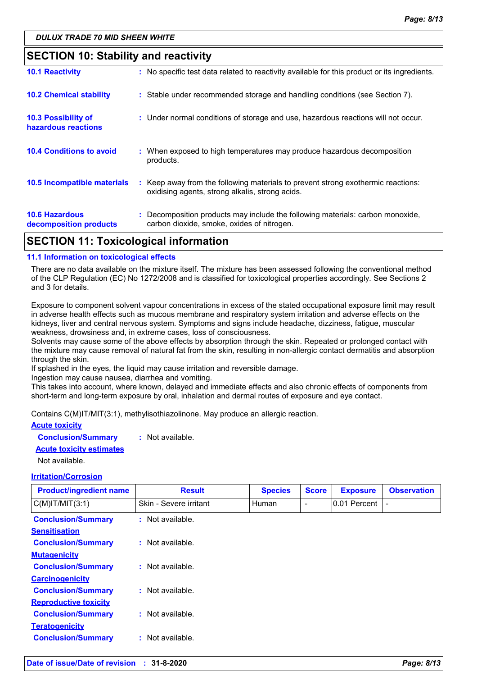# **SECTION 10: Stability and reactivity**

| <b>SECTION 11: Toxicological information</b>      |                                                                                                                                     |  |  |
|---------------------------------------------------|-------------------------------------------------------------------------------------------------------------------------------------|--|--|
| <b>10.6 Hazardous</b><br>decomposition products   | : Decomposition products may include the following materials: carbon monoxide,<br>carbon dioxide, smoke, oxides of nitrogen.        |  |  |
| <b>10.5 Incompatible materials</b>                | : Keep away from the following materials to prevent strong exothermic reactions:<br>oxidising agents, strong alkalis, strong acids. |  |  |
| <b>10.4 Conditions to avoid</b>                   | : When exposed to high temperatures may produce hazardous decomposition<br>products.                                                |  |  |
| <b>10.3 Possibility of</b><br>hazardous reactions | : Under normal conditions of storage and use, hazardous reactions will not occur.                                                   |  |  |
| <b>10.2 Chemical stability</b>                    | : Stable under recommended storage and handling conditions (see Section 7).                                                         |  |  |
| <b>10.1 Reactivity</b>                            | : No specific test data related to reactivity available for this product or its ingredients.                                        |  |  |

### **11.1 Information on toxicological effects**

There are no data available on the mixture itself. The mixture has been assessed following the conventional method of the CLP Regulation (EC) No 1272/2008 and is classified for toxicological properties accordingly. See Sections 2 and 3 for details.

Exposure to component solvent vapour concentrations in excess of the stated occupational exposure limit may result in adverse health effects such as mucous membrane and respiratory system irritation and adverse effects on the kidneys, liver and central nervous system. Symptoms and signs include headache, dizziness, fatigue, muscular weakness, drowsiness and, in extreme cases, loss of consciousness.

Solvents may cause some of the above effects by absorption through the skin. Repeated or prolonged contact with the mixture may cause removal of natural fat from the skin, resulting in non-allergic contact dermatitis and absorption through the skin.

If splashed in the eyes, the liquid may cause irritation and reversible damage.

Ingestion may cause nausea, diarrhea and vomiting.

This takes into account, where known, delayed and immediate effects and also chronic effects of components from short-term and long-term exposure by oral, inhalation and dermal routes of exposure and eye contact.

Contains C(M)IT/MIT(3:1), methylisothiazolinone. May produce an allergic reaction.

### **Acute toxicity Conclusion/Summary :** Not available.

**Acute toxicity estimates**

Not available.

### **Irritation/Corrosion**

| <b>Product/ingredient name</b>                            | <b>Result</b>          | <b>Species</b> | <b>Score</b> | <b>Exposure</b> | <b>Observation</b> |
|-----------------------------------------------------------|------------------------|----------------|--------------|-----------------|--------------------|
| $C(M)$ IT/MIT $(3:1)$                                     | Skin - Severe irritant | <b>Human</b>   | -            | 0.01 Percent    |                    |
| <b>Conclusion/Summary</b><br><b>Sensitisation</b>         | : Not available.       |                |              |                 |                    |
| <b>Conclusion/Summary</b><br><b>Mutagenicity</b>          | : Not available.       |                |              |                 |                    |
| <b>Conclusion/Summary</b><br><b>Carcinogenicity</b>       | : Not available.       |                |              |                 |                    |
| <b>Conclusion/Summary</b><br><b>Reproductive toxicity</b> | : Not available.       |                |              |                 |                    |
| <b>Conclusion/Summary</b><br><b>Teratogenicity</b>        | : Not available.       |                |              |                 |                    |
| <b>Conclusion/Summary</b>                                 | : Not available.       |                |              |                 |                    |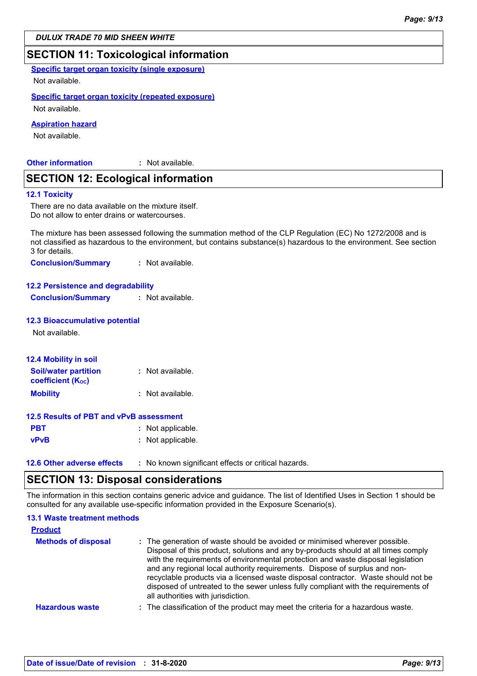# **SECTION 11: Toxicological information**

**Specific target organ toxicity (single exposure)**

Not available.

### **Specific target organ toxicity (repeated exposure)**

Not available.

### **Aspiration hazard**

Not available.

**Other information :**

: Not available.

# **SECTION 12: Ecological information**

### **12.1 Toxicity**

There are no data available on the mixture itself. Do not allow to enter drains or watercourses.

The mixture has been assessed following the summation method of the CLP Regulation (EC) No 1272/2008 and is not classified as hazardous to the environment, but contains substance(s) hazardous to the environment. See section 3 for details.

**Conclusion/Summary :** Not available.

### **12.2 Persistence and degradability**

**Conclusion/Summary :** Not available.

### **12.3 Bioaccumulative potential**

Not available.

| : Not available.  |
|-------------------|
| : Not available.  |
|                   |
| : Not applicable. |
| : Not applicable. |
|                   |
|                   |

**12.6 Other adverse effects** : No known significant effects or critical hazards.

# **SECTION 13: Disposal considerations**

The information in this section contains generic advice and guidance. The list of Identified Uses in Section 1 should be consulted for any available use-specific information provided in the Exposure Scenario(s).

| <b>13.1 Waste treatment methods</b><br><b>Product</b> |                                                                                                                                                                                                                                                                                                                                                                                                                                                                                                                                                      |
|-------------------------------------------------------|------------------------------------------------------------------------------------------------------------------------------------------------------------------------------------------------------------------------------------------------------------------------------------------------------------------------------------------------------------------------------------------------------------------------------------------------------------------------------------------------------------------------------------------------------|
| <b>Methods of disposal</b>                            | : The generation of waste should be avoided or minimised wherever possible.<br>Disposal of this product, solutions and any by-products should at all times comply<br>with the requirements of environmental protection and waste disposal legislation<br>and any regional local authority requirements. Dispose of surplus and non-<br>recyclable products via a licensed waste disposal contractor. Waste should not be<br>disposed of untreated to the sewer unless fully compliant with the requirements of<br>all authorities with jurisdiction. |
| <b>Hazardous waste</b>                                | : The classification of the product may meet the criteria for a hazardous waste.                                                                                                                                                                                                                                                                                                                                                                                                                                                                     |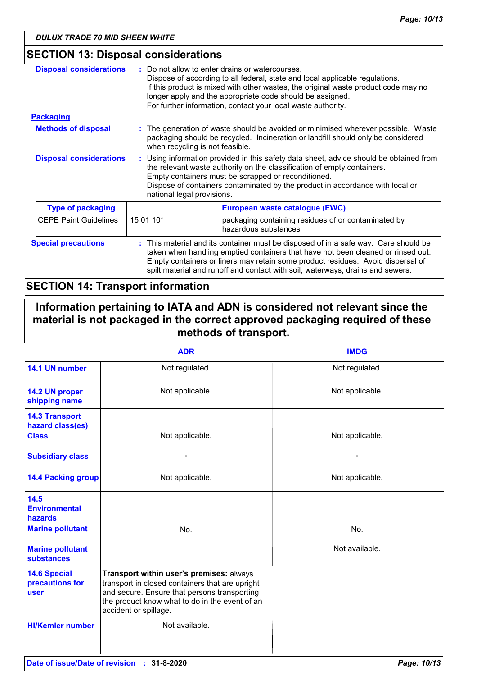# **SECTION 13: Disposal considerations**

| <b>Disposal considerations</b> | Do not allow to enter drains or watercourses.<br>Dispose of according to all federal, state and local applicable regulations.<br>If this product is mixed with other wastes, the original waste product code may no<br>longer apply and the appropriate code should be assigned.<br>For further information, contact your local waste authority. |  |
|--------------------------------|--------------------------------------------------------------------------------------------------------------------------------------------------------------------------------------------------------------------------------------------------------------------------------------------------------------------------------------------------|--|
| <b>Packaging</b>               |                                                                                                                                                                                                                                                                                                                                                  |  |
| <b>Methods of disposal</b>     | : The generation of waste should be avoided or minimised wherever possible. Waste<br>packaging should be recycled. Incineration or landfill should only be considered<br>when recycling is not feasible.                                                                                                                                         |  |
| <b>Disposal considerations</b> | : Using information provided in this safety data sheet, advice should be obtained from<br>the relevant waste authority on the classification of empty containers.<br>Empty containers must be scrapped or reconditioned.<br>Dispose of containers contaminated by the product in accordance with local or<br>national legal provisions.          |  |
| <b>Type of packaging</b>       | European waste catalogue (EWC)                                                                                                                                                                                                                                                                                                                   |  |
| <b>CEPE Paint Guidelines</b>   | 15 01 10*<br>packaging containing residues of or contaminated by<br>hazardous substances                                                                                                                                                                                                                                                         |  |
| <b>Special precautions</b>     | This material and its container must be disposed of in a safe way. Care should be<br>taken when handling emptied containers that have not been cleaned or rinsed out.<br>Empty containers or liners may retain some product residues. Avoid dispersal of<br>spilt material and runoff and contact with soil, waterways, drains and sewers.       |  |

# **SECTION 14: Transport information**

**Information pertaining to IATA and ADN is considered not relevant since the material is not packaged in the correct approved packaging required of these methods of transport.**

|                                                                    | <b>ADR</b>                                                                                                                                                                                                             | <b>IMDG</b>     |
|--------------------------------------------------------------------|------------------------------------------------------------------------------------------------------------------------------------------------------------------------------------------------------------------------|-----------------|
| 14.1 UN number                                                     | Not regulated.                                                                                                                                                                                                         | Not regulated.  |
| 14.2 UN proper<br>shipping name                                    | Not applicable.                                                                                                                                                                                                        | Not applicable. |
| <b>14.3 Transport</b><br>hazard class(es)<br><b>Class</b>          | Not applicable.                                                                                                                                                                                                        | Not applicable. |
| <b>Subsidiary class</b>                                            |                                                                                                                                                                                                                        |                 |
| <b>14.4 Packing group</b>                                          | Not applicable.                                                                                                                                                                                                        | Not applicable. |
| 14.5<br><b>Environmental</b><br>hazards<br><b>Marine pollutant</b> | No.                                                                                                                                                                                                                    | No.             |
| <b>Marine pollutant</b><br><b>substances</b>                       |                                                                                                                                                                                                                        | Not available.  |
| <b>14.6 Special</b><br>precautions for<br><b>user</b>              | Transport within user's premises: always<br>transport in closed containers that are upright<br>and secure. Ensure that persons transporting<br>the product know what to do in the event of an<br>accident or spillage. |                 |
| <b>HI/Kemler number</b>                                            | Not available.                                                                                                                                                                                                         |                 |
|                                                                    | Date of issue/Date of revision : 31-8-2020                                                                                                                                                                             | Page: 10/13     |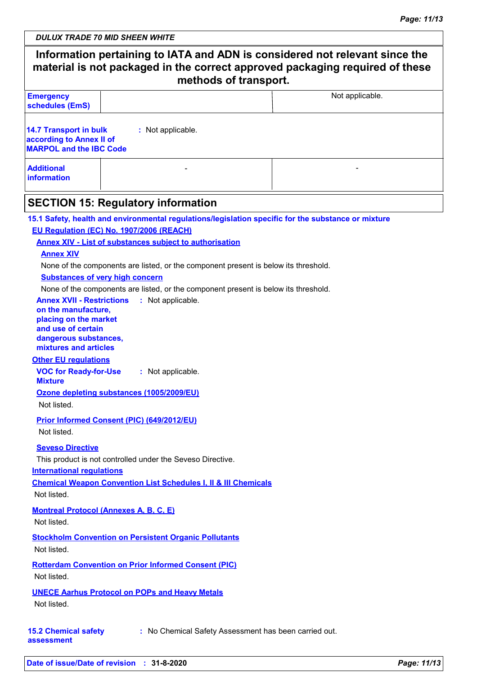| <b>Emergency</b>                                                                                                                                                                                                                                                                                                                                                                                                                                                                                                                                                                                                                                                                                                     |                                        | Not applicable.                                                                                     |
|----------------------------------------------------------------------------------------------------------------------------------------------------------------------------------------------------------------------------------------------------------------------------------------------------------------------------------------------------------------------------------------------------------------------------------------------------------------------------------------------------------------------------------------------------------------------------------------------------------------------------------------------------------------------------------------------------------------------|----------------------------------------|-----------------------------------------------------------------------------------------------------|
| schedules (EmS)                                                                                                                                                                                                                                                                                                                                                                                                                                                                                                                                                                                                                                                                                                      |                                        |                                                                                                     |
| <b>14.7 Transport in bulk</b><br>according to Annex II of<br><b>MARPOL and the IBC Code</b>                                                                                                                                                                                                                                                                                                                                                                                                                                                                                                                                                                                                                          | : Not applicable.                      |                                                                                                     |
| <b>Additional</b><br><b>information</b>                                                                                                                                                                                                                                                                                                                                                                                                                                                                                                                                                                                                                                                                              |                                        |                                                                                                     |
| <b>SECTION 15: Regulatory information</b>                                                                                                                                                                                                                                                                                                                                                                                                                                                                                                                                                                                                                                                                            |                                        |                                                                                                     |
| EU Regulation (EC) No. 1907/2006 (REACH)<br><b>Annex XIV - List of substances subject to authorisation</b><br><b>Annex XIV</b><br>None of the components are listed, or the component present is below its threshold.<br><b>Substances of very high concern</b><br>None of the components are listed, or the component present is below its threshold.<br><b>Annex XVII - Restrictions</b><br>on the manufacture,<br>placing on the market<br>and use of certain<br>dangerous substances,<br>mixtures and articles<br><b>Other EU regulations</b><br><b>VOC for Ready-for-Use</b><br><b>Mixture</b><br>Ozone depleting substances (1005/2009/EU)<br>Not listed.<br><b>Prior Informed Consent (PIC) (649/2012/EU)</b> | : Not applicable.<br>: Not applicable. | 15.1 Safety, health and environmental regulations/legislation specific for the substance or mixture |
| Not listed.<br><b>Seveso Directive</b><br>This product is not controlled under the Seveso Directive.<br><b>International regulations</b><br><b>Chemical Weapon Convention List Schedules I, II &amp; III Chemicals</b><br>Not listed.                                                                                                                                                                                                                                                                                                                                                                                                                                                                                |                                        |                                                                                                     |
| <b>Montreal Protocol (Annexes A, B, C, E)</b><br>Not listed.                                                                                                                                                                                                                                                                                                                                                                                                                                                                                                                                                                                                                                                         |                                        |                                                                                                     |
| <b>Stockholm Convention on Persistent Organic Pollutants</b><br>Not listed.                                                                                                                                                                                                                                                                                                                                                                                                                                                                                                                                                                                                                                          |                                        |                                                                                                     |
| <b>Rotterdam Convention on Prior Informed Consent (PIC)</b><br>Not listed.                                                                                                                                                                                                                                                                                                                                                                                                                                                                                                                                                                                                                                           |                                        |                                                                                                     |
| <b>UNECE Aarhus Protocol on POPs and Heavy Metals</b>                                                                                                                                                                                                                                                                                                                                                                                                                                                                                                                                                                                                                                                                |                                        |                                                                                                     |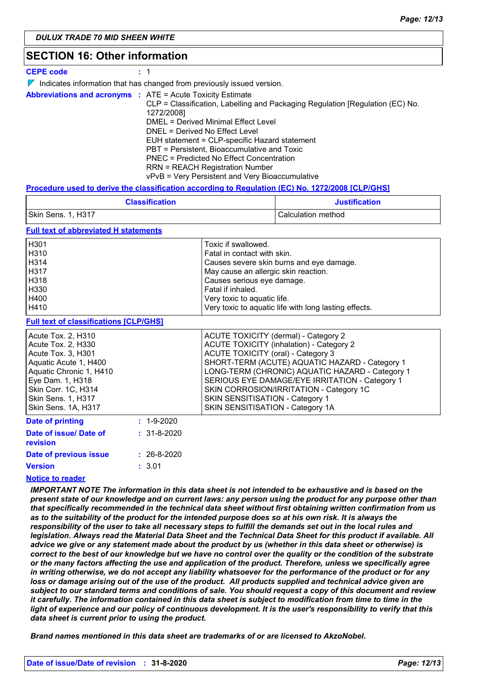# **SECTION 16: Other information**

| <b>CEPE code</b> |  |
|------------------|--|
|------------------|--|

|  |  |  | $\nabla$ Indicates information that has changed from previously issued version. |  |
|--|--|--|---------------------------------------------------------------------------------|--|
|--|--|--|---------------------------------------------------------------------------------|--|

|  | <b>Abbreviations and acronyms : ATE = Acute Toxicity Estimate</b>             |
|--|-------------------------------------------------------------------------------|
|  | CLP = Classification, Labelling and Packaging Regulation [Regulation (EC) No. |
|  | 1272/2008]                                                                    |
|  | DMEL = Derived Minimal Effect Level                                           |
|  | DNEL = Derived No Effect Level                                                |
|  | EUH statement = CLP-specific Hazard statement                                 |
|  | PBT = Persistent, Bioaccumulative and Toxic                                   |
|  | <b>PNEC = Predicted No Effect Concentration</b>                               |
|  | <b>RRN = REACH Registration Number</b>                                        |
|  | vPvB = Very Persistent and Very Bioaccumulative                               |

### **Procedure used to derive the classification according to Regulation (EC) No. 1272/2008 [CLP/GHS]**

| <b>Classification</b> | <b>Justification</b> |
|-----------------------|----------------------|
| Skin Sens. 1, H317    | l Calculation method |

### **Full text of abbreviated H statements**

| H <sub>301</sub> | Toxic if swallowed.                                   |
|------------------|-------------------------------------------------------|
| H310             | Fatal in contact with skin.                           |
| H314             | Causes severe skin burns and eye damage.              |
| H317             | May cause an allergic skin reaction.                  |
| H318             | Causes serious eye damage.                            |
| H330             | Fatal if inhaled.                                     |
| H400             | Very toxic to aquatic life.                           |
| H410             | Very toxic to aquatic life with long lasting effects. |

### **Full text of classifications [CLP/GHS]**

| <u>I uli text of classifications [OLI /OHO]</u>                                                                                                                                                                   |                   |                                                                                                                                                                                                                                                                                                                                                                                                        |
|-------------------------------------------------------------------------------------------------------------------------------------------------------------------------------------------------------------------|-------------------|--------------------------------------------------------------------------------------------------------------------------------------------------------------------------------------------------------------------------------------------------------------------------------------------------------------------------------------------------------------------------------------------------------|
| Acute Tox. 2, H310<br>Acute Tox. 2, H330<br>Acute Tox. 3, H301<br>Aquatic Acute 1, H400<br>Aquatic Chronic 1, H410<br>Eye Dam. 1, H318<br>Skin Corr. 1C, H314<br><b>Skin Sens. 1, H317</b><br>Skin Sens. 1A, H317 |                   | ACUTE TOXICITY (dermal) - Category 2<br><b>ACUTE TOXICITY (inhalation) - Category 2</b><br>ACUTE TOXICITY (oral) - Category 3<br>SHORT-TERM (ACUTE) AQUATIC HAZARD - Category 1<br>LONG-TERM (CHRONIC) AQUATIC HAZARD - Category 1<br>SERIOUS EYE DAMAGE/EYE IRRITATION - Category 1<br>SKIN CORROSION/IRRITATION - Category 1C<br>SKIN SENSITISATION - Category 1<br>SKIN SENSITISATION - Category 1A |
| <b>Date of printing</b>                                                                                                                                                                                           | $: 1 - 9 - 2020$  |                                                                                                                                                                                                                                                                                                                                                                                                        |
| Date of issue/ Date of<br><b>revision</b>                                                                                                                                                                         | $: 31 - 8 - 2020$ |                                                                                                                                                                                                                                                                                                                                                                                                        |

### 3.01 **: Version Date of previous issue :** 26-8-2020

### **Notice to reader**

*IMPORTANT NOTE The information in this data sheet is not intended to be exhaustive and is based on the present state of our knowledge and on current laws: any person using the product for any purpose other than that specifically recommended in the technical data sheet without first obtaining written confirmation from us*  as to the suitability of the product for the intended purpose does so at his own risk. It is always the *responsibility of the user to take all necessary steps to fulfill the demands set out in the local rules and legislation. Always read the Material Data Sheet and the Technical Data Sheet for this product if available. All advice we give or any statement made about the product by us (whether in this data sheet or otherwise) is correct to the best of our knowledge but we have no control over the quality or the condition of the substrate or the many factors affecting the use and application of the product. Therefore, unless we specifically agree in writing otherwise, we do not accept any liability whatsoever for the performance of the product or for any*  loss or damage arising out of the use of the product. All products supplied and technical advice given are *subject to our standard terms and conditions of sale. You should request a copy of this document and review it carefully. The information contained in this data sheet is subject to modification from time to time in the light of experience and our policy of continuous development. It is the user's responsibility to verify that this data sheet is current prior to using the product.*

*Brand names mentioned in this data sheet are trademarks of or are licensed to AkzoNobel.*